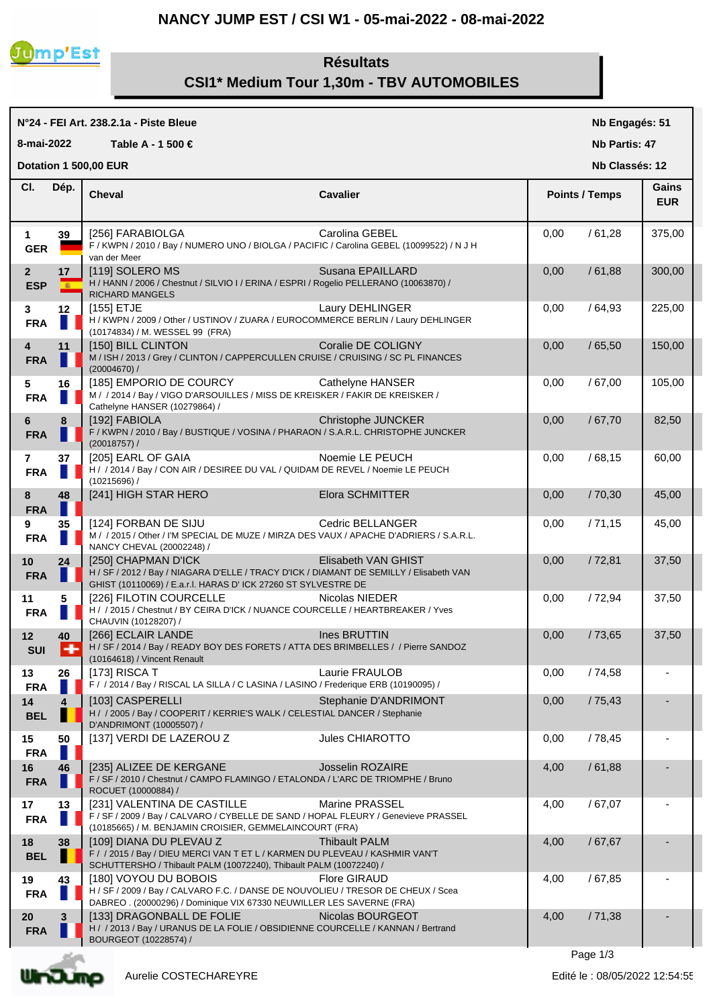## **NANCY JUMP EST / CSI W1 - 05-mai-2022 - 08-mai-2022**



## **Résultats CSI1\* Medium Tour 1,30m - TBV AUTOMOBILES**

## **N°24 - FEI Art. 238.2.1a - Piste Bleue Cheval Cavalier Cl. Nb Engagés: 51 Nb Partis: 47 Nb Classés: 12 Gains 8-mai-2022 Table A - 1 500 € Points / Temps EUR Dotation 1 500,00 EUR**  Dép. **Cheval 1 39** [256] FARABIOLGA Carolina GEBEL 0,00 / 61,28 375,00 **GER** F / KWPN / 2010 / Bay / NUMERO UNO / BIOLGA / PACIFIC / Carolina GEBEL (10099522) / N J H van der Meer **2 17** | [119] SOLERO MS Susana EPAILLARD | 0,00 / 61,88 | 300,00 ESP **E** H / HANN / 2006 / Chestnut / SILVIO I / ERINA / ESPRI / Rogelio PELLERANO (10063870) / RICHARD MANGELS **3 12**  $\begin{bmatrix} 155 \end{bmatrix}$  ETJE **Laury DEHLINGER 10,00** / 64,93 225,00 FRA  $\blacksquare$  H / KWPN / 2009 / Other / USTINOV / ZUARA / EUROCOMMERCE BERLIN / Laury DEHLINGER (10174834) / M. WESSEL 99 (FRA) **4 11** | [150] BILL CLINTON Coralie DE COLIGNY | 0,00 / 65,50 | 150,00 **FRA** M / ISH / 2013 / Grey / CLINTON / CAPPERCULLEN CRUISE / CRUISING / SC PL FINANCES (20004670) / **5 16** | [185] EMPORIO DE COURCY Cathelyne HANSER | 0.00 / 67.00 | 105.00 **FRA** M / / 2014 / Bay / VIGO D'ARSOUILLES / MISS DE KREISKER / FAKIR DE KREISKER / Cathelyne HANSER (10279864) / **6 8** [192] FABIOLA Christophe JUNCKER 0,00 / 67,70 82,50 **FRA** F / KWPN / 2010 / Bay / BUSTIQUE / VOSINA / PHARAON / S.A.R.L. CHRISTOPHE JUNCKER (20018757) / **7 37** [205] EARL OF GAIA Noemie LE PEUCH 0,00 / 68,15 60,00 **FRA** H / / 2014 / Bay / CON AIR / DESIREE DU VAL / QUIDAM DE REVEL / Noemie LE PEUCH (10215696) / **8 48**  $\begin{bmatrix} 241 \end{bmatrix}$  HIGH STAR HERO Elora SCHMITTER **100 100 100 100 100 45,00 FRA 9 35** [124] FORBAN DE SIJU Cedric BELLANGER 0,00 / 71,15 45,00 **FRA** M / / 2015 / Other / I'M SPECIAL DE MUZE / MIRZA DES VAUX / APACHE D'ADRIERS / S.A.R.L. NANCY CHEVAL (20002248) / **10 24** [250] CHAPMAN D'ICK Elisabeth VAN GHIST 0,00 / 72,81 37,50 FRA **NE H / SF / 2012 / Bay / NIAGARA D'ELLE / TRACY D'ICK / DIAMANT DE SEMILLY / Elisabeth VAN** GHIST (10110069) / E.a.r.l. HARAS D' ICK 27260 ST SYLVESTRE DE **11 5** [226] FILOTIN COURCELLE Nicolas NIEDER 0,00 / 72,94 37,50 **FRA**  $\blacksquare$  H / / 2015 / Chestnut / BY CEIRA D'ICK / NUANCE COURCELLE / HEARTBREAKER / Yves CHAUVIN (10128207) / **12 40** [266] ECLAIR LANDE THE INES BRUTTIN THE INC. ON THE INC. ON THE INC. OF THE INC. OF THE INC. OF THE INC. OF THE INC. OF THE INC. OF THE INC. OF THE INC. OF THE INC. OF THE INC. OF THE INC. OF THE INC. OF THE IN **SUI** H / SF / 2014 / Bay / READY BOY DES FORETS / ATTA DES BRIMBELLES / / Pierre SANDOZ (10164618) / Vincent Renault **13 26**  $\begin{bmatrix} 173 \end{bmatrix}$  RISCA T Laurie FRAULOB  $\begin{bmatrix} 0.00 & /74.58 \\ -0.00 & /74.58 \end{bmatrix}$ FRA F / 2014 / Bay / RISCAL LA SILLA / C LASINA / LASINO / Frederique ERB (10190095) / **14 4**  $\begin{bmatrix} 103 \end{bmatrix}$  CASPERELLI Stephanie D'ANDRIMONT  $\begin{bmatrix} 0.00 & /75.43 \end{bmatrix}$ **BEL | H** / / 2005 / Bay / COOPERIT / KERRIE'S WALK / CELESTIAL DANCER / Stephanie D'ANDRIMONT (10005507) / **15 50**  $\begin{bmatrix} 137 \end{bmatrix}$  VERDI DE LAZEROU Z  $\begin{bmatrix} 16 \end{bmatrix}$  Jules CHIAROTTO  $\begin{bmatrix} 0.00 \end{bmatrix}$  / 78,45 **FRA 16 46** [235] ALIZEE DE KERGANE Josselin ROZAIRE 4,00 / 61,88 - **FRA** F / SF / 2010 / Chestnut / CAMPO FLAMINGO / ETALONDA / L'ARC DE TRIOMPHE / Bruno ROCUET (10000884) / **17 13** [231] VALENTINA DE CASTILLE Marine PRASSEL 4,00 / 67,07 - FRA F / SF / 2009 / Bay / CALVARO / CYBELLE DE SAND / HOPAL FLEURY / Genevieve PRASSEL (10185665) / M. BENJAMIN CROISIER, GEMMELAINCOURT (FRA) **18 38** [109] DIANA DU PLEVAU Z Thibault PALM 4,00 / 67,67 - **BEL** F / / 2015 / Bay / DIEU MERCI VAN T ET L / KARMEN DU PLEVEAU / KASHMIR VAN'T SCHUTTERSHO / Thibault PALM (10072240), Thibault PALM (10072240) / **19 43** [180] VOYOU DU BOBOIS Flore GIRAUD 4,00 / 67,85 - **FRA**  $\blacksquare$  H / SF / 2009 / Bay / CALVARO F.C. / DANSE DE NOUVOLIEU / TRESOR DE CHEUX / Scea DABREO . (20000296) / Dominique VIX 67330 NEUWILLER LES SAVERNE (FRA) **20 3** [133] DRAGONBALL DE FOLIE Nicolas BOURGEOT 4,00 / 71,38 - **FRA**  $\blacksquare$  H / / 2013 / Bay / URANUS DE LA FOLIE / OBSIDIENNE COURCELLE / KANNAN / Bertrand BOURGEOT (10228574) /

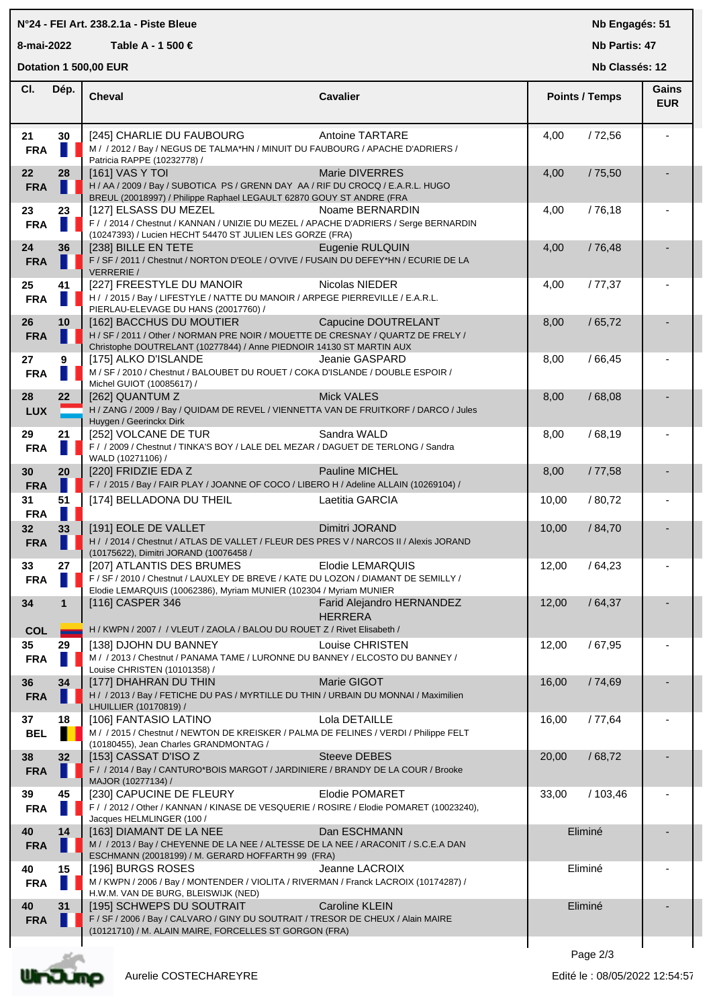## **N°24 - FEI Art. 238.2.1a - Piste Bleue**

**8-mai-2022 Table A - 1 500 €**

**Nb Engagés: 51**

**Nb Partis: 47 Nb Classés: 12** 

**Dotation 1 500,00 EUR** 

| CI.              | Dép.         | <b>Cheval</b>                                                                                                                                                                         | Cavalier                                    | <b>Points / Temps</b> | Gains      |
|------------------|--------------|---------------------------------------------------------------------------------------------------------------------------------------------------------------------------------------|---------------------------------------------|-----------------------|------------|
|                  |              |                                                                                                                                                                                       |                                             |                       | <b>EUR</b> |
| 21<br><b>FRA</b> | 30<br>ш      | [245] CHARLIE DU FAUBOURG<br>M / / 2012 / Bay / NEGUS DE TALMA*HN / MINUIT DU FAUBOURG / APACHE D'ADRIERS /<br>Patricia RAPPE (10232778) /                                            | <b>Antoine TARTARE</b>                      | /72,56<br>4,00        |            |
| 22<br><b>FRA</b> | 28           | [161] VAS Y TOI<br>H / AA / 2009 / Bay / SUBOTICA PS / GRENN DAY AA / RIF DU CROCQ / E.A.R.L. HUGO<br>BREUL (20018997) / Philippe Raphael LEGAULT 62870 GOUY ST ANDRE (FRA            | Marie DIVERRES                              | 4,00<br>/75,50        |            |
| 23<br><b>FRA</b> | 23           | [127] ELSASS DU MEZEL<br>F / / 2014 / Chestnut / KANNAN / UNIZIE DU MEZEL / APACHE D'ADRIERS / Serge BERNARDIN<br>(10247393) / Lucien HECHT 54470 ST JULIEN LES GORZE (FRA)           | Noame BERNARDIN                             | 4,00<br>/76,18        |            |
| 24<br><b>FRA</b> | 36           | [238] BILLE EN TETE<br>F / SF / 2011 / Chestnut / NORTON D'EOLE / O'VIVE / FUSAIN DU DEFEY*HN / ECURIE DE LA<br><b>VERRERIE /</b>                                                     | Eugenie RULQUIN                             | 4,00<br>/76,48        |            |
| 25<br><b>FRA</b> | 41           | [227] FREESTYLE DU MANOIR<br>H / / 2015 / Bay / LIFESTYLE / NATTE DU MANOIR / ARPEGE PIERREVILLE / E.A.R.L.<br>PIERLAU-ELEVAGE DU HANS (20017760) /                                   | Nicolas NIEDER                              | 4,00<br>/77,37        |            |
| 26<br><b>FRA</b> | 10           | [162] BACCHUS DU MOUTIER<br>H / SF / 2011 / Other / NORMAN PRE NOIR / MOUETTE DE CRESNAY / QUARTZ DE FRELY /<br>Christophe DOUTRELANT (10277844) / Anne PIEDNOIR 14130 ST MARTIN AUX  | Capucine DOUTRELANT                         | /65,72<br>8,00        |            |
| 27<br><b>FRA</b> | 9            | [175] ALKO D'ISLANDE<br>M / SF / 2010 / Chestnut / BALOUBET DU ROUET / COKA D'ISLANDE / DOUBLE ESPOIR /<br>Michel GUIOT (10085617) /                                                  | Jeanie GASPARD                              | 8,00<br>/66,45        |            |
| 28<br><b>LUX</b> | 22           | [262] QUANTUM Z<br>H / ZANG / 2009 / Bay / QUIDAM DE REVEL / VIENNETTA VAN DE FRUITKORF / DARCO / Jules<br>Huygen / Geerinckx Dirk                                                    | <b>Mick VALES</b>                           | 8,00<br>/68,08        |            |
| 29<br><b>FRA</b> | 21           | [252] VOLCANE DE TUR<br>F / / 2009 / Chestnut / TINKA'S BOY / LALE DEL MEZAR / DAGUET DE TERLONG / Sandra<br>WALD (10271106) /                                                        | Sandra WALD                                 | /68,19<br>8,00        |            |
| 30<br><b>FRA</b> | 20           | [220] FRIDZIE EDA Z<br>F / / 2015 / Bay / FAIR PLAY / JOANNE OF COCO / LIBERO H / Adeline ALLAIN (10269104) /                                                                         | Pauline MICHEL                              | 8,00<br>/77,58        |            |
| 31<br><b>FRA</b> | 51           | [174] BELLADONA DU THEIL                                                                                                                                                              | Laetitia GARCIA                             | / 80,72<br>10,00      |            |
| 32<br><b>FRA</b> | 33<br>ш      | [191] EOLE DE VALLET<br>H / / 2014 / Chestnut / ATLAS DE VALLET / FLEUR DES PRES V / NARCOS II / Alexis JORAND<br>(10175622), Dimitri JORAND (10076458 /                              | Dimitri JORAND                              | 10,00<br>/ 84,70      |            |
| 33<br><b>FRA</b> | 27<br>H.     | [207] ATLANTIS DES BRUMES<br>F / SF / 2010 / Chestnut / LAUXLEY DE BREVE / KATE DU LOZON / DIAMANT DE SEMILLY /<br>Elodie LEMARQUIS (10062386), Myriam MUNIER (102304 / Myriam MUNIER | Elodie LEMARQUIS                            | 12,00<br>/64,23       |            |
| 34<br><b>COL</b> | $\mathbf{1}$ | [116] CASPER 346<br>H / KWPN / 2007 / / VLEUT / ZAOLA / BALOU DU ROUET Z / Rivet Elisabeth /                                                                                          | Farid Alejandro HERNANDEZ<br><b>HERRERA</b> | 12,00<br>/64,37       |            |
| 35<br><b>FRA</b> | 29           | [138] DJOHN DU BANNEY<br>M / / 2013 / Chestnut / PANAMA TAME / LURONNE DU BANNEY / ELCOSTO DU BANNEY /<br>Louise CHRISTEN (10101358) /                                                | Louise CHRISTEN                             | 12,00<br>/67,95       |            |
| 36<br><b>FRA</b> | 34           | [177] DHAHRAN DU THIN<br>H / / 2013 / Bay / FETICHE DU PAS / MYRTILLE DU THIN / URBAIN DU MONNAI / Maximilien<br>LHUILLIER (10170819) /                                               | Marie GIGOT                                 | 16,00<br>/74,69       |            |
| 37<br><b>BEL</b> | 18           | [106] FANTASIO LATINO<br>M / / 2015 / Chestnut / NEWTON DE KREISKER / PALMA DE FELINES / VERDI / Philippe FELT<br>(10180455), Jean Charles GRANDMONTAG /                              | Lola DETAILLE                               | 16,00<br>/77,64       |            |
| 38<br><b>FRA</b> | 32           | [153] CASSAT D'ISO Z<br>F / / 2014 / Bay / CANTURO*BOIS MARGOT / JARDINIERE / BRANDY DE LA COUR / Brooke<br>MAJOR (10277134) /                                                        | <b>Steeve DEBES</b>                         | 20,00<br>/68,72       |            |
| 39<br><b>FRA</b> | 45           | [230] CAPUCINE DE FLEURY<br>F / / 2012 / Other / KANNAN / KINASE DE VESQUERIE / ROSIRE / Elodie POMARET (10023240),<br>Jacques HELMLINGER (100 /                                      | <b>Elodie POMARET</b>                       | 33,00<br>/103,46      |            |
| 40<br><b>FRA</b> | 14           | [163] DIAMANT DE LA NEE<br>M / / 2013 / Bay / CHEYENNE DE LA NEE / ALTESSE DE LA NEE / ARACONIT / S.C.E.A DAN<br>ESCHMANN (20018199) / M. GERARD HOFFARTH 99 (FRA)                    | Dan ESCHMANN                                | Eliminé               |            |
| 40<br><b>FRA</b> | 15           | [196] BURGS ROSES<br>M / KWPN / 2006 / Bay / MONTENDER / VIOLITA / RIVERMAN / Franck LACROIX (10174287) /<br>H.W.M. VAN DE BURG, BLEISWIJK (NED)                                      | Jeanne LACROIX                              | Eliminé               |            |
| 40<br><b>FRA</b> | 31           | [195] SCHWEPS DU SOUTRAIT<br>F / SF / 2006 / Bay / CALVARO / GINY DU SOUTRAIT / TRESOR DE CHEUX / Alain MAIRE<br>(10121710) / M. ALAIN MAIRE, FORCELLES ST GORGON (FRA)               | <b>Caroline KLEIN</b>                       | Eliminé               |            |
|                  |              |                                                                                                                                                                                       |                                             |                       |            |